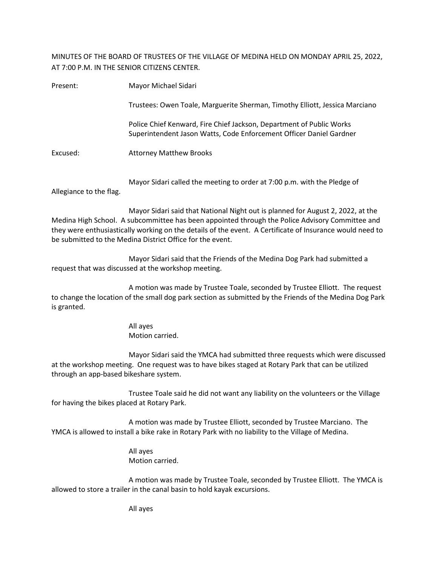MINUTES OF THE BOARD OF TRUSTEES OF THE VILLAGE OF MEDINA HELD ON MONDAY APRIL 25, 2022, AT 7:00 P.M. IN THE SENIOR CITIZENS CENTER.

| Present: | Mayor Michael Sidari                                                                                                                        |  |  |
|----------|---------------------------------------------------------------------------------------------------------------------------------------------|--|--|
|          | Trustees: Owen Toale, Marguerite Sherman, Timothy Elliott, Jessica Marciano                                                                 |  |  |
|          | Police Chief Kenward, Fire Chief Jackson, Department of Public Works<br>Superintendent Jason Watts, Code Enforcement Officer Daniel Gardner |  |  |
| Excused: | <b>Attorney Matthew Brooks</b>                                                                                                              |  |  |
|          | Mayor Sidari called the meeting to order at 7:00 p.m. with the Pledge of                                                                    |  |  |

Allegiance to the flag.

Mayor Sidari said that National Night out is planned for August 2, 2022, at the Medina High School. A subcommittee has been appointed through the Police Advisory Committee and they were enthusiastically working on the details of the event. A Certificate of Insurance would need to be submitted to the Medina District Office for the event.

Mayor Sidari said that the Friends of the Medina Dog Park had submitted a request that was discussed at the workshop meeting.

A motion was made by Trustee Toale, seconded by Trustee Elliott. The request to change the location of the small dog park section as submitted by the Friends of the Medina Dog Park is granted.

> All ayes Motion carried.

Mayor Sidari said the YMCA had submitted three requests which were discussed at the workshop meeting. One request was to have bikes staged at Rotary Park that can be utilized through an app-based bikeshare system.

Trustee Toale said he did not want any liability on the volunteers or the Village for having the bikes placed at Rotary Park.

A motion was made by Trustee Elliott, seconded by Trustee Marciano. The YMCA is allowed to install a bike rake in Rotary Park with no liability to the Village of Medina.

> All ayes Motion carried.

A motion was made by Trustee Toale, seconded by Trustee Elliott. The YMCA is allowed to store a trailer in the canal basin to hold kayak excursions.

All ayes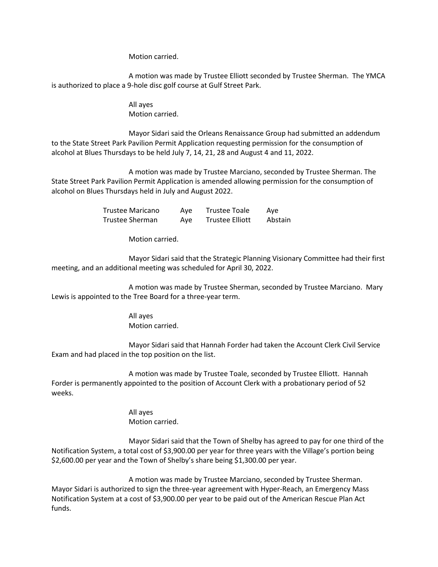Motion carried.

A motion was made by Trustee Elliott seconded by Trustee Sherman. The YMCA is authorized to place a 9-hole disc golf course at Gulf Street Park.

> All ayes Motion carried.

Mayor Sidari said the Orleans Renaissance Group had submitted an addendum to the State Street Park Pavilion Permit Application requesting permission for the consumption of alcohol at Blues Thursdays to be held July 7, 14, 21, 28 and August 4 and 11, 2022.

A motion was made by Trustee Marciano, seconded by Trustee Sherman. The State Street Park Pavilion Permit Application is amended allowing permission for the consumption of alcohol on Blues Thursdays held in July and August 2022.

> Trustee Maricano Aye Trustee Toale Aye Trustee Sherman Aye Trustee Elliott Abstain

> > Motion carried.

Mayor Sidari said that the Strategic Planning Visionary Committee had their first meeting, and an additional meeting was scheduled for April 30, 2022.

A motion was made by Trustee Sherman, seconded by Trustee Marciano. Mary Lewis is appointed to the Tree Board for a three-year term.

> All ayes Motion carried.

Mayor Sidari said that Hannah Forder had taken the Account Clerk Civil Service Exam and had placed in the top position on the list.

A motion was made by Trustee Toale, seconded by Trustee Elliott. Hannah Forder is permanently appointed to the position of Account Clerk with a probationary period of 52 weeks.

> All ayes Motion carried.

Mayor Sidari said that the Town of Shelby has agreed to pay for one third of the Notification System, a total cost of \$3,900.00 per year for three years with the Village's portion being \$2,600.00 per year and the Town of Shelby's share being \$1,300.00 per year.

A motion was made by Trustee Marciano, seconded by Trustee Sherman. Mayor Sidari is authorized to sign the three-year agreement with Hyper-Reach, an Emergency Mass Notification System at a cost of \$3,900.00 per year to be paid out of the American Rescue Plan Act funds.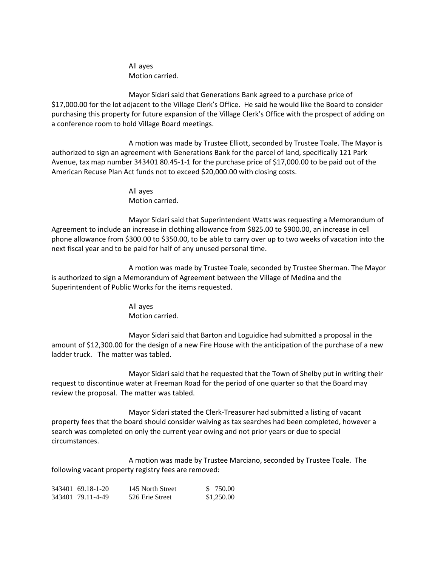All ayes Motion carried.

Mayor Sidari said that Generations Bank agreed to a purchase price of \$17,000.00 for the lot adjacent to the Village Clerk's Office. He said he would like the Board to consider purchasing this property for future expansion of the Village Clerk's Office with the prospect of adding on a conference room to hold Village Board meetings.

A motion was made by Trustee Elliott, seconded by Trustee Toale. The Mayor is authorized to sign an agreement with Generations Bank for the parcel of land, specifically 121 Park Avenue, tax map number 343401 80.45-1-1 for the purchase price of \$17,000.00 to be paid out of the American Recuse Plan Act funds not to exceed \$20,000.00 with closing costs.

> All ayes Motion carried.

Mayor Sidari said that Superintendent Watts was requesting a Memorandum of Agreement to include an increase in clothing allowance from \$825.00 to \$900.00, an increase in cell phone allowance from \$300.00 to \$350.00, to be able to carry over up to two weeks of vacation into the next fiscal year and to be paid for half of any unused personal time.

A motion was made by Trustee Toale, seconded by Trustee Sherman. The Mayor is authorized to sign a Memorandum of Agreement between the Village of Medina and the Superintendent of Public Works for the items requested.

> All ayes Motion carried.

Mayor Sidari said that Barton and Loguidice had submitted a proposal in the amount of \$12,300.00 for the design of a new Fire House with the anticipation of the purchase of a new ladder truck. The matter was tabled.

Mayor Sidari said that he requested that the Town of Shelby put in writing their request to discontinue water at Freeman Road for the period of one quarter so that the Board may review the proposal. The matter was tabled.

Mayor Sidari stated the Clerk-Treasurer had submitted a listing of vacant property fees that the board should consider waiving as tax searches had been completed, however a search was completed on only the current year owing and not prior years or due to special circumstances.

A motion was made by Trustee Marciano, seconded by Trustee Toale. The following vacant property registry fees are removed:

| 343401 69.18-1-20 | 145 North Street | \$ 750.00  |
|-------------------|------------------|------------|
| 343401 79.11-4-49 | 526 Erie Street  | \$1,250.00 |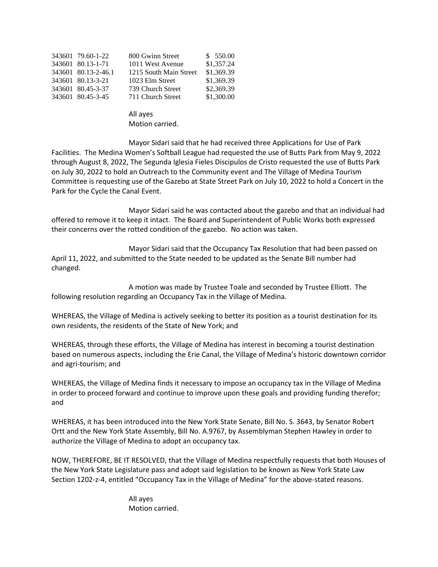| 343601 79.60-1-22   | 800 Gwinn Street       | \$550.00   |
|---------------------|------------------------|------------|
| 343601 80.13-1-71   | 1011 West Avenue       | \$1,357.24 |
| 343601 80.13-2-46.1 | 1215 South Main Street | \$1,369.39 |
| 343601 80.13-3-21   | 1023 Elm Street        | \$1,369.39 |
| 343601 80.45-3-37   | 739 Church Street      | \$2,369.39 |
| 343601 80.45-3-45   | 711 Church Street      | \$1,300.00 |
|                     |                        |            |

## All ayes Motion carried.

Mayor Sidari said that he had received three Applications for Use of Park Facilities. The Medina Women's Softball League had requested the use of Butts Park from May 9, 2022 through August 8, 2022, The Segunda Iglesia Fieles Discipulos de Cristo requested the use of Butts Park on July 30, 2022 to hold an Outreach to the Community event and The Village of Medina Tourism Committee is requesting use of the Gazebo at State Street Park on July 10, 2022 to hold a Concert in the Park for the Cycle the Canal Event.

Mayor Sidari said he was contacted about the gazebo and that an individual had offered to remove it to keep it intact. The Board and Superintendent of Public Works both expressed their concerns over the rotted condition of the gazebo. No action was taken.

Mayor Sidari said that the Occupancy Tax Resolution that had been passed on April 11, 2022, and submitted to the State needed to be updated as the Senate Bill number had changed.

A motion was made by Trustee Toale and seconded by Trustee Elliott. The following resolution regarding an Occupancy Tax in the Village of Medina.

WHEREAS, the Village of Medina is actively seeking to better its position as a tourist destination for its own residents, the residents of the State of New York; and

WHEREAS, through these efforts, the Village of Medina has interest in becoming a tourist destination based on numerous aspects, including the Erie Canal, the Village of Medina's historic downtown corridor and agri-tourism; and

WHEREAS, the Village of Medina finds it necessary to impose an occupancy tax in the Village of Medina in order to proceed forward and continue to improve upon these goals and providing funding therefor; and

WHEREAS, it has been introduced into the New York State Senate, Bill No. S. 3643, by Senator Robert Ortt and the New York State Assembly, Bill No. A.9767, by Assemblyman Stephen Hawley in order to authorize the Village of Medina to adopt an occupancy tax.

NOW, THEREFORE, BE IT RESOLVED, that the Village of Medina respectfully requests that both Houses of the New York State Legislature pass and adopt said legislation to be known as New York State Law Section 1202-z-4, entitled "Occupancy Tax in the Village of Medina" for the above-stated reasons.

> All ayes Motion carried.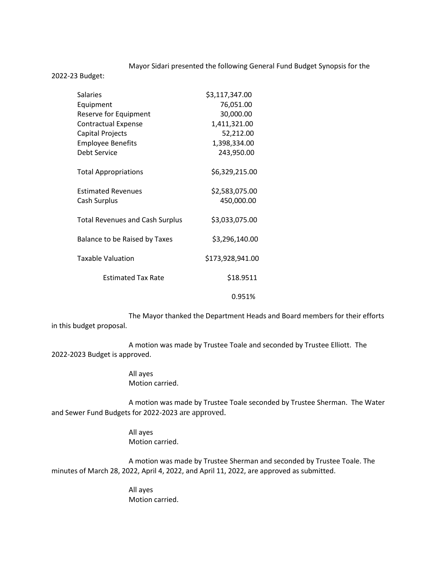## Mayor Sidari presented the following General Fund Budget Synopsis for the

2022-23 Budget:

| <b>Salaries</b>                        | \$3,117,347.00   |
|----------------------------------------|------------------|
| Equipment                              | 76,051.00        |
| Reserve for Equipment                  | 30,000.00        |
| <b>Contractual Expense</b>             | 1,411,321.00     |
| Capital Projects                       | 52,212.00        |
| <b>Employee Benefits</b>               | 1,398,334.00     |
| Debt Service                           | 243,950.00       |
| <b>Total Appropriations</b>            | \$6,329,215.00   |
| <b>Estimated Revenues</b>              | \$2,583,075.00   |
| Cash Surplus                           | 450,000.00       |
| <b>Total Revenues and Cash Surplus</b> | \$3,033,075.00   |
| Balance to be Raised by Taxes          | \$3,296,140.00   |
| <b>Taxable Valuation</b>               | \$173,928,941.00 |
| <b>Estimated Tax Rate</b>              | \$18.9511        |
|                                        | 0.951%           |

The Mayor thanked the Department Heads and Board members for their efforts in this budget proposal.

A motion was made by Trustee Toale and seconded by Trustee Elliott. The 2022-2023 Budget is approved.

> All ayes Motion carried.

A motion was made by Trustee Toale seconded by Trustee Sherman. The Water and Sewer Fund Budgets for 2022-2023 are approved.

> All ayes Motion carried.

A motion was made by Trustee Sherman and seconded by Trustee Toale. The minutes of March 28, 2022, April 4, 2022, and April 11, 2022, are approved as submitted.

> All ayes Motion carried.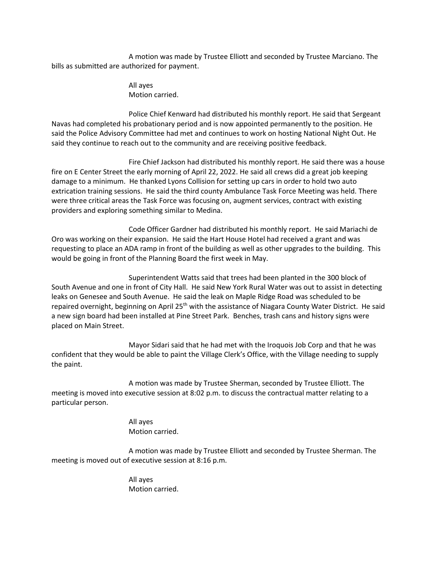A motion was made by Trustee Elliott and seconded by Trustee Marciano. The bills as submitted are authorized for payment.

> All ayes Motion carried.

Police Chief Kenward had distributed his monthly report. He said that Sergeant Navas had completed his probationary period and is now appointed permanently to the position. He said the Police Advisory Committee had met and continues to work on hosting National Night Out. He said they continue to reach out to the community and are receiving positive feedback.

Fire Chief Jackson had distributed his monthly report. He said there was a house fire on E Center Street the early morning of April 22, 2022. He said all crews did a great job keeping damage to a minimum. He thanked Lyons Collision for setting up cars in order to hold two auto extrication training sessions. He said the third county Ambulance Task Force Meeting was held. There were three critical areas the Task Force was focusing on, augment services, contract with existing providers and exploring something similar to Medina.

Code Officer Gardner had distributed his monthly report. He said Mariachi de Oro was working on their expansion. He said the Hart House Hotel had received a grant and was requesting to place an ADA ramp in front of the building as well as other upgrades to the building. This would be going in front of the Planning Board the first week in May.

Superintendent Watts said that trees had been planted in the 300 block of South Avenue and one in front of City Hall. He said New York Rural Water was out to assist in detecting leaks on Genesee and South Avenue. He said the leak on Maple Ridge Road was scheduled to be repaired overnight, beginning on April 25<sup>th</sup> with the assistance of Niagara County Water District. He said a new sign board had been installed at Pine Street Park. Benches, trash cans and history signs were placed on Main Street.

Mayor Sidari said that he had met with the Iroquois Job Corp and that he was confident that they would be able to paint the Village Clerk's Office, with the Village needing to supply the paint.

A motion was made by Trustee Sherman, seconded by Trustee Elliott. The meeting is moved into executive session at 8:02 p.m. to discuss the contractual matter relating to a particular person.

> All ayes Motion carried.

A motion was made by Trustee Elliott and seconded by Trustee Sherman. The meeting is moved out of executive session at 8:16 p.m.

> All ayes Motion carried.